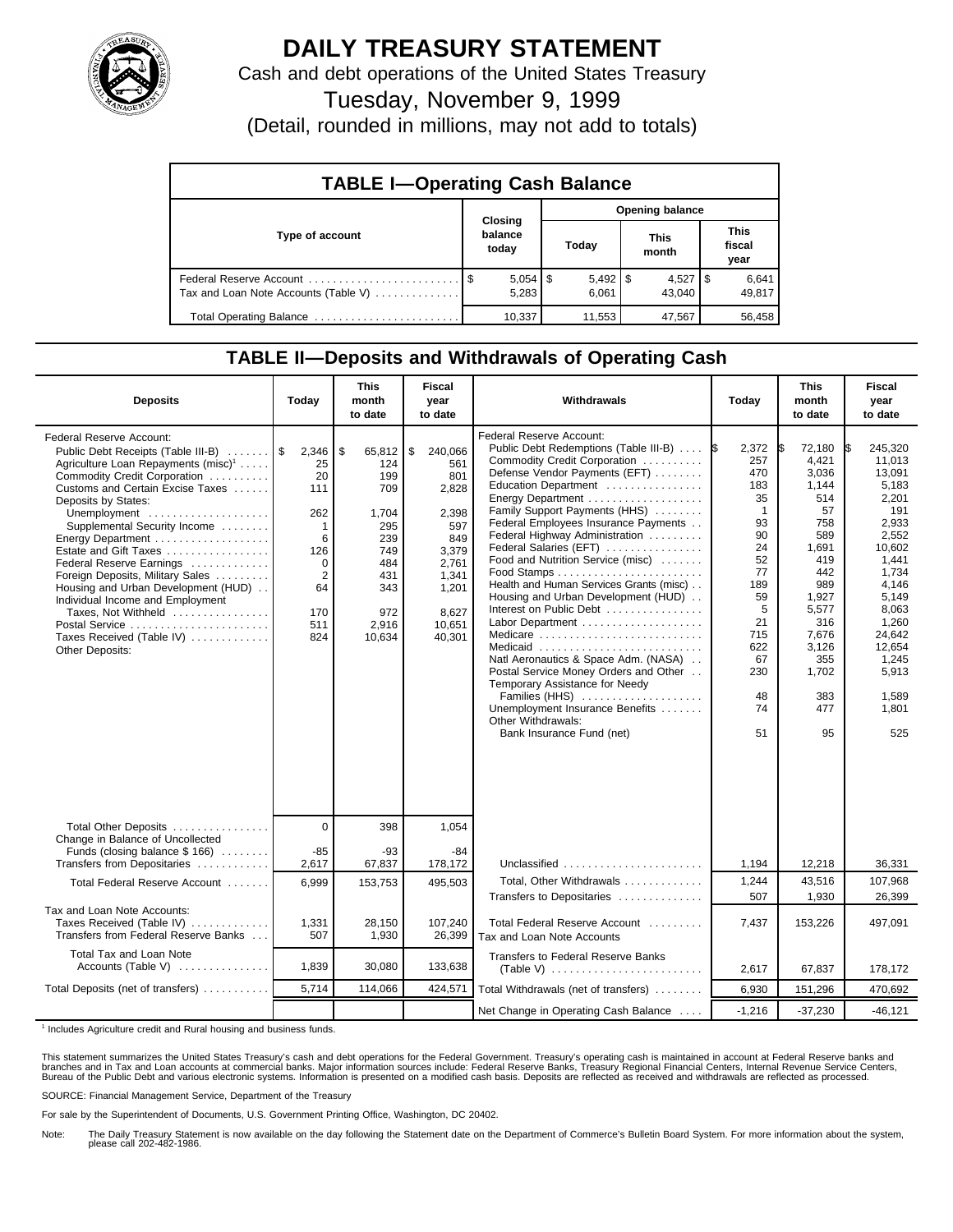

## **DAILY TREASURY STATEMENT**

Cash and debt operations of the United States Treasury

Tuesday, November 9, 1999

(Detail, rounded in millions, may not add to totals)

| <b>TABLE I-Operating Cash Balance</b> |                             |  |                       |  |                      |  |                               |  |  |
|---------------------------------------|-----------------------------|--|-----------------------|--|----------------------|--|-------------------------------|--|--|
|                                       | Closing<br>balance<br>today |  | Opening balance       |  |                      |  |                               |  |  |
| Type of account                       |                             |  | Today                 |  | <b>This</b><br>month |  | <b>This</b><br>fiscal<br>year |  |  |
| Tax and Loan Note Accounts (Table V)  | $5,054$   \$<br>5.283       |  | $5,492$   \$<br>6.061 |  | $4,527$ S<br>43.040  |  | 6,641<br>49,817               |  |  |
| Total Operating Balance               | 10.337                      |  | 11,553                |  | 47,567               |  | 56,458                        |  |  |

## **TABLE II—Deposits and Withdrawals of Operating Cash**

| <b>Deposits</b>                                                                                                                                                                                                                                                                                                                                                                                                                                                                                                                                | Today                                                                                                                | <b>This</b><br>month<br>to date                                                                                | <b>Fiscal</b><br>year<br>to date                                                                                             | Withdrawals                                                                                                                                                                                                                                                                                                                                                                                                                                                                                                                                                                                                                                                                                                                                          | Today                                                                                                                                                        | <b>This</b><br>month<br>to date                                                                                                                                           | <b>Fiscal</b><br>year<br>to date                                                                                                                                                                             |
|------------------------------------------------------------------------------------------------------------------------------------------------------------------------------------------------------------------------------------------------------------------------------------------------------------------------------------------------------------------------------------------------------------------------------------------------------------------------------------------------------------------------------------------------|----------------------------------------------------------------------------------------------------------------------|----------------------------------------------------------------------------------------------------------------|------------------------------------------------------------------------------------------------------------------------------|------------------------------------------------------------------------------------------------------------------------------------------------------------------------------------------------------------------------------------------------------------------------------------------------------------------------------------------------------------------------------------------------------------------------------------------------------------------------------------------------------------------------------------------------------------------------------------------------------------------------------------------------------------------------------------------------------------------------------------------------------|--------------------------------------------------------------------------------------------------------------------------------------------------------------|---------------------------------------------------------------------------------------------------------------------------------------------------------------------------|--------------------------------------------------------------------------------------------------------------------------------------------------------------------------------------------------------------|
| Federal Reserve Account:<br>Public Debt Receipts (Table III-B)<br>Agriculture Loan Repayments (misc) <sup>1</sup><br>Commodity Credit Corporation<br>Customs and Certain Excise Taxes<br>Deposits by States:<br>Unemployment<br>Supplemental Security Income<br>Energy Department<br>Estate and Gift Taxes<br>Federal Reserve Earnings<br>Foreign Deposits, Military Sales<br>Housing and Urban Development (HUD)<br>Individual Income and Employment<br>Taxes, Not Withheld<br>Postal Service<br>Taxes Received (Table IV)<br>Other Deposits: | 2,346<br>25<br>20<br>111<br>262<br>$\mathbf{1}$<br>6<br>126<br>$\Omega$<br>$\overline{2}$<br>64<br>170<br>511<br>824 | \$<br>65,812<br>124<br>199<br>709<br>1,704<br>295<br>239<br>749<br>484<br>431<br>343<br>972<br>2,916<br>10,634 | \$<br>240,066<br>561<br>801<br>2,828<br>2,398<br>597<br>849<br>3,379<br>2,761<br>1,341<br>1,201<br>8.627<br>10,651<br>40,301 | <b>Federal Reserve Account:</b><br>Public Debt Redemptions (Table III-B)<br>Commodity Credit Corporation<br>Defense Vendor Payments (EFT)<br>Education Department<br>Energy Department<br>Family Support Payments (HHS)<br>Federal Employees Insurance Payments<br>Federal Highway Administration<br>Federal Salaries (EFT)<br>Food and Nutrition Service (misc)<br>Health and Human Services Grants (misc)<br>Housing and Urban Development (HUD)<br>Interest on Public Debt<br>Labor Department<br>Medicare<br>Medicaid<br>Natl Aeronautics & Space Adm. (NASA)<br>Postal Service Money Orders and Other<br>Temporary Assistance for Needy<br>Families (HHS)<br>Unemployment Insurance Benefits<br>Other Withdrawals:<br>Bank Insurance Fund (net) | 2,372<br>1\$<br>257<br>470<br>183<br>35<br>$\overline{1}$<br>93<br>90<br>24<br>52<br>77<br>189<br>59<br>5<br>21<br>715<br>622<br>67<br>230<br>48<br>74<br>51 | 72,180<br>4.421<br>3,036<br>1,144<br>514<br>57<br>758<br>589<br>1.691<br>419<br>442<br>989<br>1,927<br>5,577<br>316<br>7,676<br>3.126<br>355<br>1,702<br>383<br>477<br>95 | 245.320<br>I\$<br>11.013<br>13,091<br>5,183<br>2,201<br>191<br>2,933<br>2,552<br>10.602<br>1.441<br>1,734<br>4,146<br>5.149<br>8.063<br>1,260<br>24,642<br>12,654<br>1,245<br>5,913<br>1,589<br>1,801<br>525 |
| Total Other Deposits<br>Change in Balance of Uncollected                                                                                                                                                                                                                                                                                                                                                                                                                                                                                       | $\Omega$                                                                                                             | 398                                                                                                            | 1,054                                                                                                                        |                                                                                                                                                                                                                                                                                                                                                                                                                                                                                                                                                                                                                                                                                                                                                      |                                                                                                                                                              |                                                                                                                                                                           |                                                                                                                                                                                                              |
| Funds (closing balance \$166)<br>Transfers from Depositaries                                                                                                                                                                                                                                                                                                                                                                                                                                                                                   | $-85$<br>2,617                                                                                                       | -93<br>67,837                                                                                                  | $-84$<br>178,172                                                                                                             | Unclassified                                                                                                                                                                                                                                                                                                                                                                                                                                                                                                                                                                                                                                                                                                                                         | 1,194                                                                                                                                                        | 12,218                                                                                                                                                                    | 36,331                                                                                                                                                                                                       |
| Total Federal Reserve Account                                                                                                                                                                                                                                                                                                                                                                                                                                                                                                                  | 6,999                                                                                                                | 153,753                                                                                                        | 495,503                                                                                                                      | Total, Other Withdrawals                                                                                                                                                                                                                                                                                                                                                                                                                                                                                                                                                                                                                                                                                                                             | 1,244                                                                                                                                                        | 43,516                                                                                                                                                                    | 107,968                                                                                                                                                                                                      |
| Tax and Loan Note Accounts:<br>Taxes Received (Table IV)<br>Transfers from Federal Reserve Banks                                                                                                                                                                                                                                                                                                                                                                                                                                               | 1,331<br>507                                                                                                         | 28,150<br>1,930                                                                                                | 107,240<br>26,399                                                                                                            | Transfers to Depositaries<br>Total Federal Reserve Account<br>Tax and Loan Note Accounts                                                                                                                                                                                                                                                                                                                                                                                                                                                                                                                                                                                                                                                             | 507<br>7,437                                                                                                                                                 | 1,930<br>153,226                                                                                                                                                          | 26,399<br>497,091                                                                                                                                                                                            |
| Total Tax and Loan Note<br>Accounts (Table V)                                                                                                                                                                                                                                                                                                                                                                                                                                                                                                  | 1,839                                                                                                                | 30,080                                                                                                         | 133,638                                                                                                                      | Transfers to Federal Reserve Banks                                                                                                                                                                                                                                                                                                                                                                                                                                                                                                                                                                                                                                                                                                                   | 2,617                                                                                                                                                        | 67,837                                                                                                                                                                    | 178,172                                                                                                                                                                                                      |
| Total Deposits (net of transfers)                                                                                                                                                                                                                                                                                                                                                                                                                                                                                                              | 5.714                                                                                                                | 114,066                                                                                                        | 424,571                                                                                                                      | Total Withdrawals (net of transfers)                                                                                                                                                                                                                                                                                                                                                                                                                                                                                                                                                                                                                                                                                                                 | 6,930                                                                                                                                                        | 151,296                                                                                                                                                                   | 470,692                                                                                                                                                                                                      |
|                                                                                                                                                                                                                                                                                                                                                                                                                                                                                                                                                |                                                                                                                      |                                                                                                                |                                                                                                                              | Net Change in Operating Cash Balance                                                                                                                                                                                                                                                                                                                                                                                                                                                                                                                                                                                                                                                                                                                 | $-1,216$                                                                                                                                                     | $-37,230$                                                                                                                                                                 | $-46.121$                                                                                                                                                                                                    |

<sup>1</sup> Includes Agriculture credit and Rural housing and business funds.

This statement summarizes the United States Treasury's cash and debt operations for the Federal Government. Treasury's operating cash is maintained in account at Federal Reserve banks and<br>branches and in Tax and Loan accou

SOURCE: Financial Management Service, Department of the Treasury

For sale by the Superintendent of Documents, U.S. Government Printing Office, Washington, DC 20402.

Note: The Daily Treasury Statement is now available on the day following the Statement date on the Department of Commerce's Bulletin Board System. For more information about the system, please call 202-482-1986.